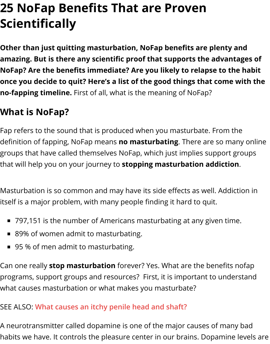**Other than just quitting masturbation, NoFap benefits are plenty and amazing. But is there any scientific proof that supports the adva NoFap? Are the benefits immediate? Are you likely to relapse to** once you decide to quit? Here's a list of the good things that com **no-fapping timeline.** First of all, what is the meaning of NoFap?

# **What is NoFap?**

Fap refers to the sound that is produced when you masturbate. From definition of fapping, NoFap means **no masturbating**. There are so n groups that have called themselves NoFap, which just implies suppor that will help you on your journey to **stopping masturbation addicti** 

Masturbation is so common and may have its side effects as well. Add itself is a major problem, with many people finding it hard to quit.

- 797,151 is the number of Americans masturbating at any given ti
- 89% of women admit to masturbating.
- 95 % of men admit to masturbating.

Can one really **stop masturbation** forever? Yes. What are the benefit programs, support groups and resources? First, it is important to und what causes masturbation or what makes you masturbate?

#### SEE ALSO: **What causes an itchy penile head and shaft?**

A neurotransmitter called dopamine is one of the major causes of ma habits we have. It controls the pleasure center in our brains. Dopamir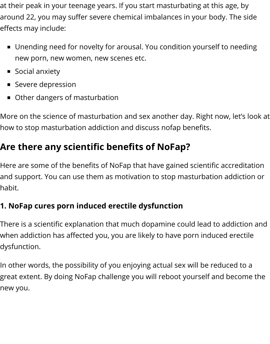at their peak in your teenage years. If you start masturbating at this age, by around 22, you may suffer severe chemical imbalances in your body. The side effects may include:

- Unending need for novelty for arousal. You condition yourself to needing new porn, new women, new scenes etc.
- **Social anxiety**
- **Severe depression**
- **Other dangers of masturbation**

More on the science of masturbation and sex another day. Right now, let's look at how to stop masturbation addiction and discuss nofap benefits.

# **Are there any scientific benefits of NoFap?**

Here are some of the benefits of NoFap that have gained scientific accreditation and support. You can use them as motivation to stop masturbation addiction or habit.

## **1. NoFap cures porn induced erectile dysfunction**

There is a scientific explanation that much dopamine could lead to addiction and when addiction has affected you, you are likely to have porn induced erectile dysfunction.

In other words, the possibility of you enjoying actual sex will be reduced to a great extent. By doing NoFap challenge you will reboot yourself and become the new you.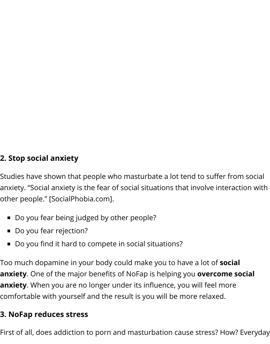### **2. Stop social anxiety**

Studies have shown that people who masturbate a lot tend to suffer from social anxiety. "Social anxiety is the fear of social situations that involve interaction with other people." [SocialPhobia.com].

- Do you fear being judged by other people?
- Do you fear rejection?
- Do you find it hard to compete in social situations?

Too much dopamine in your body could make you to have a lot of **social anxiety**. One of the major benefits of NoFap is helping you **overcome social anxiety**. When you are no longer under its influence, you will feel more comfortable with yourself and the result is you will be more relaxed.

#### **3. NoFap reduces stress**

First of all, does addiction to porn and masturbation cause stress? How? Everyday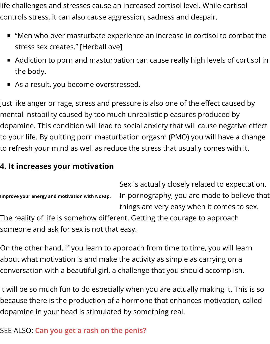- stress sex creates." [HerbalLove]
- Addiction to porn and masturbation can cause really high levels of the body.
- As a result, you become overstressed.

Just like anger or rage, stress and pressure is also one of the effect ca mental instability caused by too much unrealistic pleasures produced by dopamine. This condition will lead to social anxiety that will cause neg to your life. By quitting porn masturbation orgasm (PMO) you will hav to refresh your mind as well as reduce the stress that usually comes **w** 

### **4. It increases your motivation**

**Improve your energy and motivation with NoFap.** Sex is actually closely related to e In pornography, you are made to things are very easy when it come The reality of life is somehow different. Getting the courage to approa [someone and ask for sex is not tha](https://www.treatcurefast.com/wp-content/uploads/2017/06/Nofap-benefits-feel-motivated-and-energetic.jpg)t easy.

On the other hand, if you learn to approach from time to time, you wi about what motivation is and make the activity as simple as carrying o conversation with a beautiful girl, a challenge that you should accomp

It will be so much fun to do especially when you are actually making it because there is the production of a hormone that enhances motivat dopamine in your head is stimulated by something real.

## SEE ALSO: **Can you get a rash on the penis?**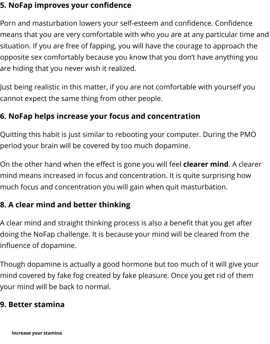situation. If you are free of fapping, you will have the courage to approach the opposite sex comfortably because you know that you don't have anyt are hiding that you never wish it realized.

Just being realistic in this matter, if you are not comfortable with your cannot expect the same thing from other people.

### **6. NoFap helps increase your focus and concentration**

Quitting this habit is just similar to rebooting your computer. During t period your brain will be covered by too much dopamine.

On the other hand when the effect is gone you will feel **clearer mind**. mind means increased in focus and concentration. It is quite surprisir much focus and concentration you will gain when quit masturbation.

#### **8. A clear mind and better thinking**

A clear mind and straight thinking process is also a benefit that you go doing the NoFap challenge. It is because your mind will be cleared fro influence of dopamine.

Though dopamine is actually a good hormone but too much of it will  $\beta$ mind covered by fake fog created by fake pleasure. Once you get rid o your mind will be back to normal.

#### **9. Better stamina**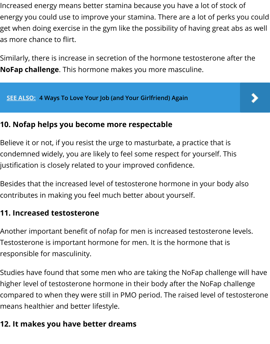Similarly, there is increase in secretion of the hormone testosterone a **NoFap challenge**. This hormone makes you more masculine.

**SEE ALSO: 4 Ways To Love Your Job (and Your Girlfriend) Again**

#### **10. Nofap helps you become more respectable**

Believe it or not, if you resist the urge to masturbate, a practice that is condemned widely, you are likely to feel some respect for yourself. Th justification is closely related to your improved confidence.

Besides that the increased level of testosterone hormone in your bod contributes in making you feel much better about yourself.

#### **11. Increased testosterone**

Another important benefit of nofap for men is increased testosterone Testosterone is important hormone for men. It is the hormone that is responsible for masculinity.

Studies have found that some men who are taking the NoFap challen higher level of testosterone hormone in their body after the NoFap ch compared to when they were still in PMO period. The raised level of  $t_0$ means healthier and better lifestyle.

### **12. It makes you have better dreams**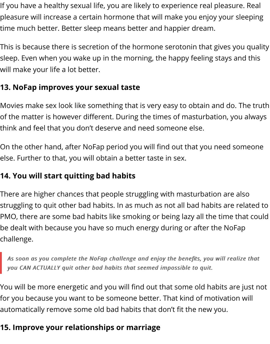If you have a healthy sexual life, you are likely to experience real pleasure. Real pleasure will increase a certain hormone that will make you enjoy your sleeping time much better. Better sleep means better and happier dream.

This is because there is secretion of the hormone serotonin that gives you quality sleep. Even when you wake up in the morning, the happy feeling stays and this will make your life a lot better.

## **13. NoFap improves your sexual taste**

Movies make sex look like something that is very easy to obtain and do. The truth of the matter is however different. During the times of masturbation, you always think and feel that you don't deserve and need someone else.

On the other hand, after NoFap period you will find out that you need someone else. Further to that, you will obtain a better taste in sex.

## **14. You will start quitting bad habits**

There are higher chances that people struggling with masturbation are also struggling to quit other bad habits. In as much as not all bad habits are related to PMO, there are some bad habits like smoking or being lazy all the time that could be dealt with because you have so much energy during or after the NoFap challenge.

As soon as you complete the NoFap challenge and enjoy the benefits, you will realize that *you CAN ACTUALLY quit other bad habits that seemed impossible to quit. you CAN ACTUALLY quit other bad habits that seemed impossible to quit.*

You will be more energetic and you will find out that some old habits are just not for you because you want to be someone better. That kind of motivation will automatically remove some old bad habits that don't fit the new you.

## **15. Improve your relationships or marriage**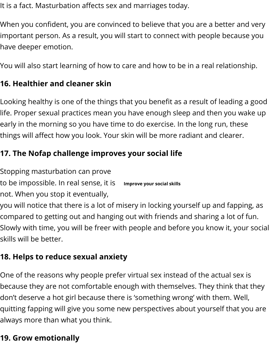have deeper emotion.

You will also start learning of how to care and how to be in a real relations.

### **16. Healthier and cleaner skin**

Looking healthy is one of the things that you benefit as a result of lead life. Proper sexual practices mean you have enough sleep and then yo early in the morning so you have time to do exercise. In the long run, things will affect how you look. Your skin will be more radiant and cle $\epsilon$ 

### **17. The Nofap challenge improves your social life**

Stopping masturbation can prove

**Improve your social skills** to be impossible. In real sense, it is

not. When you stop it eventually,

you will notice that there is a lot of misery in locking yourself up and f compared to getting out and hanging out with friends and sharing a let Slowly with time, you will be freer with people and before you know it skills will be better.

### **18. Helps to reduce sexual anxiety**

One of the reasons why people prefer virtual sex instead of the actua because they are not comfortable enough with themselves. They thin don't deserve a hot girl because there is 'something wrong' with them quitting fapping will give you some new perspectives about yourself t always more than what you think.

### **19. Grow emotionally**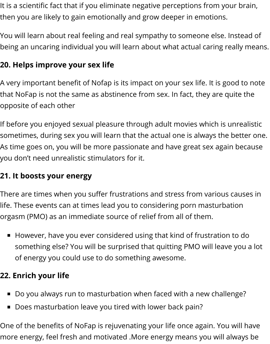It is a scientific fact that if you eliminate negative perceptions from your brain, then you are likely to gain emotionally and grow deeper in emotions.

You will learn about real feeling and real sympathy to someone else. Instead of being an uncaring individual you will learn about what actual caring really means.

## **20. Helps improve your sex life**

A very important benefit of Nofap is its impact on your sex life. It is good to note that NoFap is not the same as abstinence from sex. In fact, they are quite the opposite of each other

If before you enjoyed sexual pleasure through adult movies which is unrealistic sometimes, during sex you will learn that the actual one is always the better one. As time goes on, you will be more passionate and have great sex again because you don't need unrealistic stimulators for it.

## **21. It boosts your energy**

There are times when you suffer frustrations and stress from various causes in life. These events can at times lead you to considering porn masturbation orgasm (PMO) as an immediate source of relief from all of them.

However, have you ever considered using that kind of frustration to do something else? You will be surprised that quitting PMO will leave you a lot of energy you could use to do something awesome.

## **22. Enrich your life**

- Do you always run to masturbation when faced with a new challenge?
- Does masturbation leave you tired with lower back pain?

One of the benefits of NoFap is rejuvenating your life once again. You will have more energy, feel fresh and motivated .More energy means you will always be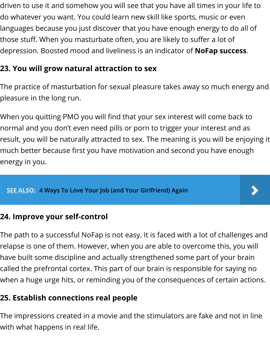depression. Boosted mood and liveliness is an indicator of **NoFap su** 

#### **23. You will grow natural attraction to sex**

The practice of masturbation for sexual pleasure takes away so much pleasure in the long run.

When you quitting PMO you will find that your sex interest will come l normal and you don't even need pills or porn to trigger your interest and result, you will be naturally attracted to sex. The meaning is you will b much better because first you have motivation and second you have energy in you.

**SEE ALSO: 4 Ways To Love Your Job (and Your Girlfriend) Again**

#### **24. Improve your self-control**

The path to a successful NoFap is not easy. It is faced with a lot of cha relapse is one of them. However, when you are able to overcome this have built some discipline and actually strengthened some part of you called the prefrontal cortex. This part of our brain is responsible for say when a huge urge hits, or reminding you of the consequences of cert

#### **25. Establish connections real people**

The impressions created in a movie and the stimulators are fake and with what happens in real life.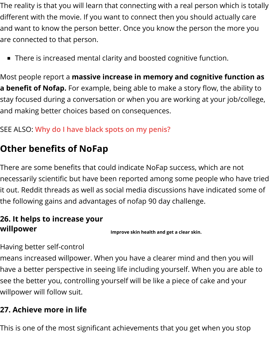**There is increased mental clarity and boosted cognitive function.** 

Most people report a **massive increase in memory and cognitive function asset a benefit of Nofap.** For example, being able to make a story flow, the stay focused during a conversation or when you are working at your j and making better choices based on consequences.

SEE ALSO: **Why do I have black spots on my penis?**

## **Other benefits of NoFap**

There are some benefits that could indicate NoFap success, which are necessarily scientifi[c but have been reported among](https://www.treatcurefast.com/men/penile-spots/black-spots-on-penis/) some people wh it out. Reddit threads as well as social media discussions have indicat the following gains and advantages of nofap 90 day challenge.

#### **26. It helps to increase your willpower**

**Improve skin health and get a clear skin.**

Having better self-control

means increased willpower. When you have a clearer mind and then y have a better perspective in seeing life including yourself. When you a see the better you, controlling yourself will be like a piece of cake and willpower will follow suit.

#### **27. Achieve more in life**

This is one of the most significant achievements that you get when yo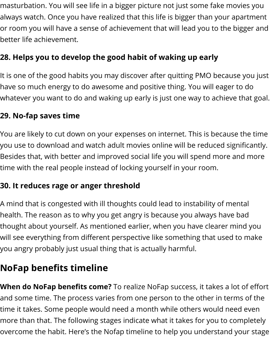masturbation. You will see life in a bigger picture not just some fake movies you always watch. Once you have realized that this life is bigger than your apartment or room you will have a sense of achievement that will lead you to the bigger and better life achievement.

## **28. Helps you to develop the good habit of waking up early**

It is one of the good habits you may discover after quitting PMO because you just have so much energy to do awesome and positive thing. You will eager to do whatever you want to do and waking up early is just one way to achieve that goal.

### **29. No-fap saves time**

You are likely to cut down on your expenses on internet. This is because the time you use to download and watch adult movies online will be reduced significantly. Besides that, with better and improved social life you will spend more and more time with the real people instead of locking yourself in your room.

## **30. It reduces rage or anger threshold**

A mind that is congested with ill thoughts could lead to instability of mental health. The reason as to why you get angry is because you always have bad thought about yourself. As mentioned earlier, when you have clearer mind you will see everything from different perspective like something that used to make you angry probably just usual thing that is actually harmful.

# **NoFap benefits timeline**

**When do NoFap benefits come?** To realize NoFap success, it takes a lot of effort and some time. The process varies from one person to the other in terms of the time it takes. Some people would need a month while others would need even more than that. The following stages indicate what it takes for you to completely overcome the habit. Here's the Nofap timeline to help you understand your stage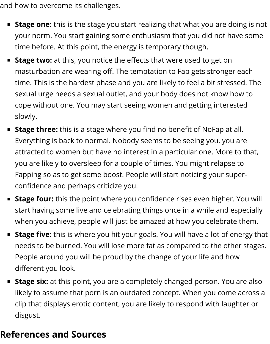and how to overcome its challenges.

- **Stage one:** this is the stage you start realizing that what you are doing is not your norm. You start gaining some enthusiasm that you did not have some time before. At this point, the energy is temporary though.
- **Stage two:** at this, you notice the effects that were used to get on masturbation are wearing off. The temptation to Fap gets stronger each time. This is the hardest phase and you are likely to feel a bit stressed. The sexual urge needs a sexual outlet, and your body does not know how to cope without one. You may start seeing women and getting interested slowly.
- **Stage three:** this is a stage where you find no benefit of NoFap at all. Everything is back to normal. Nobody seems to be seeing you, you are attracted to women but have no interest in a particular one. More to that, you are likely to oversleep for a couple of times. You might relapse to Fapping so as to get some boost. People will start noticing your superconfidence and perhaps criticize you.
- **Stage four:** this the point where you confidence rises even higher. You will start having some live and celebrating things once in a while and especially when you achieve, people will just be amazed at how you celebrate them.
- **Stage five:** this is where you hit your goals. You will have a lot of energy that needs to be burned. You will lose more fat as compared to the other stages. People around you will be proud by the change of your life and how different you look.
- **Stage six:** at this point, you are a completely changed person. You are also likely to assume that porn is an outdated concept. When you come across a clip that displays erotic content, you are likely to respond with laughter or disgust.

## **References and Sources**